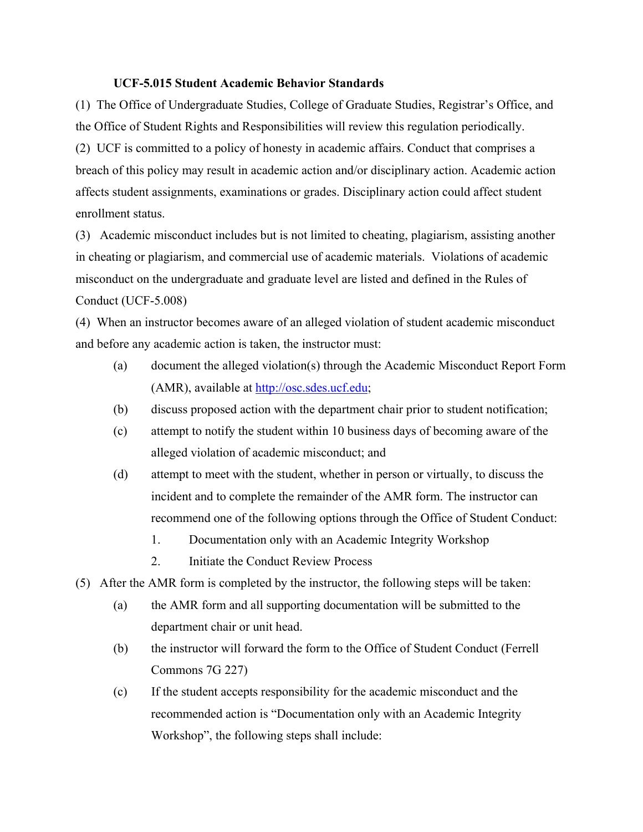## **UCF-5.015 Student Academic Behavior Standards**

(1) The Office of Undergraduate Studies, College of Graduate Studies, Registrar's Office, and the Office of Student Rights and Responsibilities will review this regulation periodically. (2) UCF is committed to a policy of honesty in academic affairs. Conduct that comprises a breach of this policy may result in academic action and/or disciplinary action. Academic action affects student assignments, examinations or grades. Disciplinary action could affect student enrollment status.

(3) Academic misconduct includes but is not limited to cheating, plagiarism, assisting another in cheating or plagiarism, and commercial use of academic materials. Violations of academic misconduct on the undergraduate and graduate level are listed and defined in the Rules of Conduct (UCF-5.008)

(4) When an instructor becomes aware of an alleged violation of student academic misconduct and before any academic action is taken, the instructor must:

- (a) document the alleged violation(s) through the Academic Misconduct Report Form (AMR), available at http://osc.sdes.ucf.edu;
- (b) discuss proposed action with the department chair prior to student notification;
- (c) attempt to notify the student within 10 business days of becoming aware of the alleged violation of academic misconduct; and
- (d) attempt to meet with the student, whether in person or virtually, to discuss the incident and to complete the remainder of the AMR form. The instructor can recommend one of the following options through the Office of Student Conduct:
	- 1. Documentation only with an Academic Integrity Workshop
	- 2. Initiate the Conduct Review Process
- (5) After the AMR form is completed by the instructor, the following steps will be taken:
	- (a) the AMR form and all supporting documentation will be submitted to the department chair or unit head.
	- (b) the instructor will forward the form to the Office of Student Conduct (Ferrell Commons 7G 227)
	- (c) If the student accepts responsibility for the academic misconduct and the recommended action is "Documentation only with an Academic Integrity Workshop", the following steps shall include: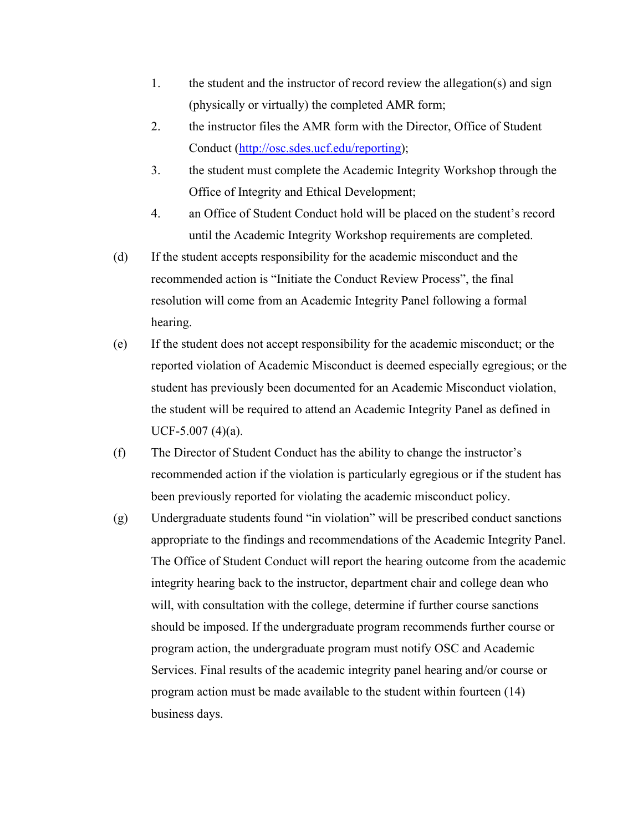- 1. the student and the instructor of record review the allegation(s) and sign (physically or virtually) the completed AMR form;
- 2. the instructor files the AMR form with the Director, Office of Student Conduct (http://osc.sdes.ucf.edu/reporting);
- 3. the student must complete the Academic Integrity Workshop through the Office of Integrity and Ethical Development;
- 4. an Office of Student Conduct hold will be placed on the student's record until the Academic Integrity Workshop requirements are completed.
- (d) If the student accepts responsibility for the academic misconduct and the recommended action is "Initiate the Conduct Review Process", the final resolution will come from an Academic Integrity Panel following a formal hearing.
- (e) If the student does not accept responsibility for the academic misconduct; or the reported violation of Academic Misconduct is deemed especially egregious; or the student has previously been documented for an Academic Misconduct violation, the student will be required to attend an Academic Integrity Panel as defined in  $UCF-5.007(4)(a)$ .
- (f) The Director of Student Conduct has the ability to change the instructor's recommended action if the violation is particularly egregious or if the student has been previously reported for violating the academic misconduct policy.
- (g) Undergraduate students found "in violation" will be prescribed conduct sanctions appropriate to the findings and recommendations of the Academic Integrity Panel. The Office of Student Conduct will report the hearing outcome from the academic integrity hearing back to the instructor, department chair and college dean who will, with consultation with the college, determine if further course sanctions should be imposed. If the undergraduate program recommends further course or program action, the undergraduate program must notify OSC and Academic Services. Final results of the academic integrity panel hearing and/or course or program action must be made available to the student within fourteen (14) business days.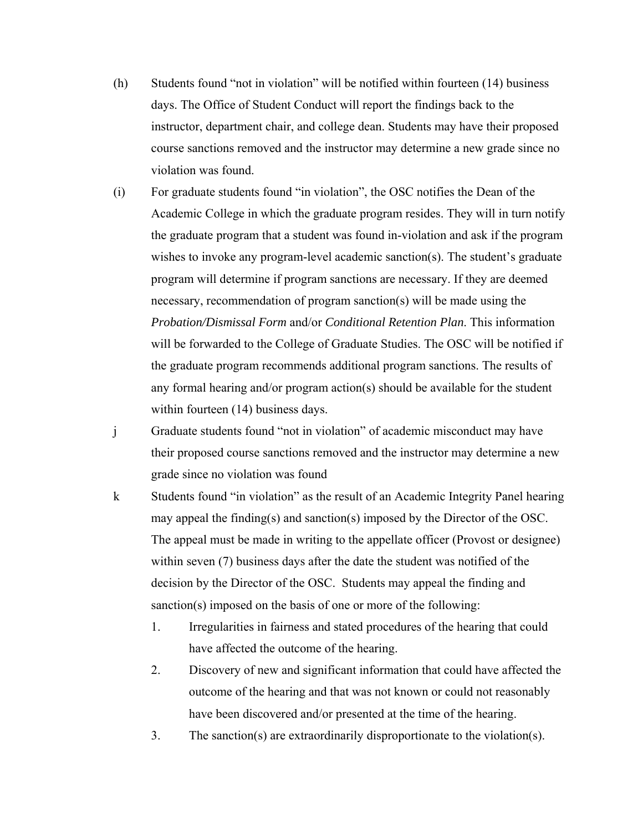- (h) Students found "not in violation" will be notified within fourteen (14) business days. The Office of Student Conduct will report the findings back to the instructor, department chair, and college dean. Students may have their proposed course sanctions removed and the instructor may determine a new grade since no violation was found.
- (i) For graduate students found "in violation", the OSC notifies the Dean of the Academic College in which the graduate program resides. They will in turn notify the graduate program that a student was found in-violation and ask if the program wishes to invoke any program-level academic sanction(s). The student's graduate program will determine if program sanctions are necessary. If they are deemed necessary, recommendation of program sanction(s) will be made using the *Probation/Dismissal Form* and/or *Conditional Retention Plan*. This information will be forwarded to the College of Graduate Studies. The OSC will be notified if the graduate program recommends additional program sanctions. The results of any formal hearing and/or program action(s) should be available for the student within fourteen (14) business days.
- j Graduate students found "not in violation" of academic misconduct may have their proposed course sanctions removed and the instructor may determine a new grade since no violation was found
- k Students found "in violation" as the result of an Academic Integrity Panel hearing may appeal the finding(s) and sanction(s) imposed by the Director of the OSC. The appeal must be made in writing to the appellate officer (Provost or designee) within seven (7) business days after the date the student was notified of the decision by the Director of the OSC. Students may appeal the finding and sanction(s) imposed on the basis of one or more of the following:
	- 1. Irregularities in fairness and stated procedures of the hearing that could have affected the outcome of the hearing.
	- 2. Discovery of new and significant information that could have affected the outcome of the hearing and that was not known or could not reasonably have been discovered and/or presented at the time of the hearing.
	- 3. The sanction(s) are extraordinarily disproportionate to the violation(s).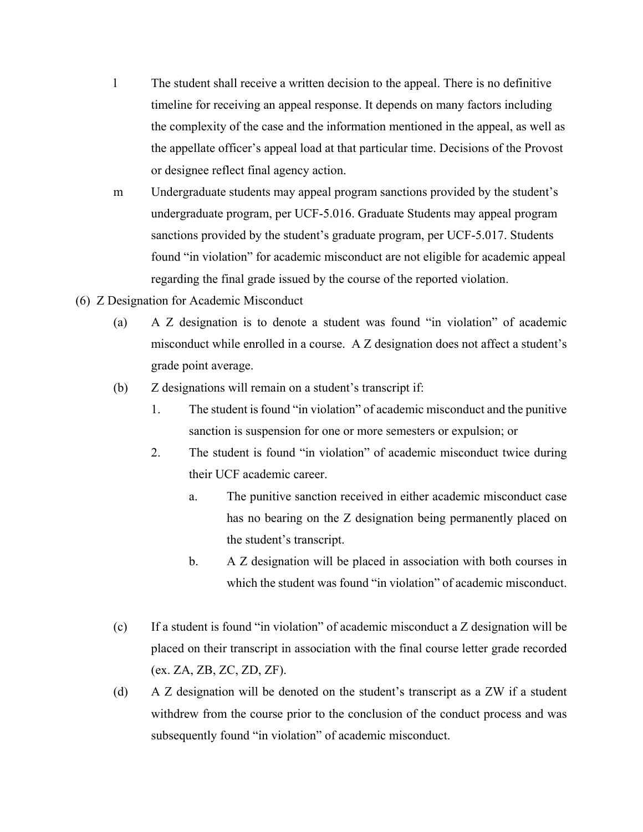- l The student shall receive a written decision to the appeal. There is no definitive timeline for receiving an appeal response. It depends on many factors including the complexity of the case and the information mentioned in the appeal, as well as the appellate officer's appeal load at that particular time. Decisions of the Provost or designee reflect final agency action.
- m Undergraduate students may appeal program sanctions provided by the student's undergraduate program, per UCF-5.016. Graduate Students may appeal program sanctions provided by the student's graduate program, per UCF-5.017. Students found "in violation" for academic misconduct are not eligible for academic appeal regarding the final grade issued by the course of the reported violation.
- (6) Z Designation for Academic Misconduct
	- (a) A Z designation is to denote a student was found "in violation" of academic misconduct while enrolled in a course. A Z designation does not affect a student's grade point average.
	- (b) Z designations will remain on a student's transcript if:
		- 1. The student is found "in violation" of academic misconduct and the punitive sanction is suspension for one or more semesters or expulsion; or
		- 2. The student is found "in violation" of academic misconduct twice during their UCF academic career.
			- a. The punitive sanction received in either academic misconduct case has no bearing on the Z designation being permanently placed on the student's transcript.
			- b. A Z designation will be placed in association with both courses in which the student was found "in violation" of academic misconduct.
	- (c) If a student is found "in violation" of academic misconduct a Z designation will be placed on their transcript in association with the final course letter grade recorded (ex. ZA, ZB, ZC, ZD, ZF).
	- (d) A Z designation will be denoted on the student's transcript as a ZW if a student withdrew from the course prior to the conclusion of the conduct process and was subsequently found "in violation" of academic misconduct.